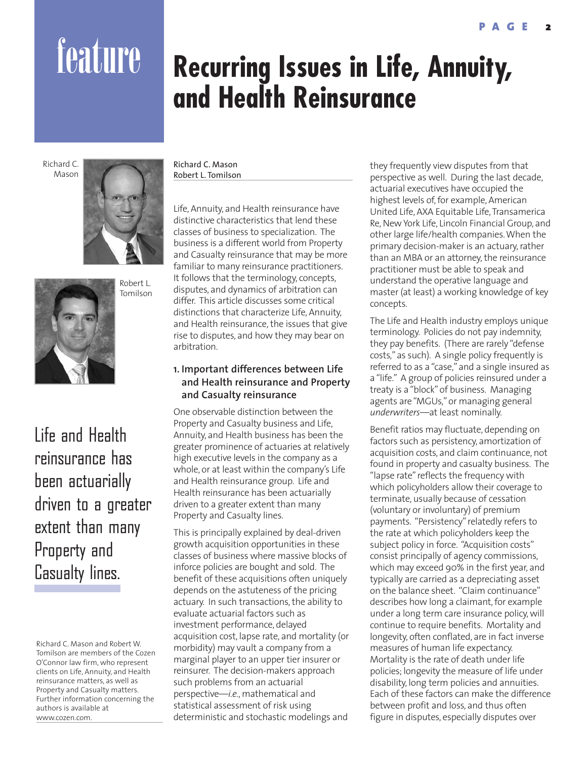# feature **Recurring Issues in Life, Annuity, and Health Reinsurance**

Richard C. Mason





Life and Health reinsurance has been actuarially driven to a greater extent than many Property and Casualty lines.

Richard C. Mason and Robert W. Tomilson are members of the Cozen O'Connor law firm, who represent clients on Life, Annuity, and Health reinsurance matters, as well as Property and Casualty matters. Further information concerning the authors is available at www.cozen.com.

Richard C. Mason Robert L. Tomilson

Life, Annuity, and Health reinsurance have distinctive characteristics that lend these classes of business to specialization. The business is a different world from Property and Casualty reinsurance that may be more familiar to many reinsurance practitioners. It follows that the terminology, concepts, disputes, and dynamics of arbitration can differ. This article discusses some critical distinctions that characterize Life, Annuity, and Health reinsurance, the issues that give rise to disputes, and how they may bear on arbitration.

# **1. Important differences between Life and Health reinsurance and Property and Casualty reinsurance**

One observable distinction between the Property and Casualty business and Life, Annuity, and Health business has been the greater prominence of actuaries at relatively high executive levels in the company as a whole, or at least within the company's Life and Health reinsurance group. Life and Health reinsurance has been actuarially driven to a greater extent than many Property and Casualty lines.

This is principally explained by deal-driven growth acquisition opportunities in these classes of business where massive blocks of inforce policies are bought and sold. The benefit of these acquisitions often uniquely depends on the astuteness of the pricing actuary. In such transactions, the ability to evaluate actuarial factors such as investment performance, delayed acquisition cost, lapse rate, and mortality (or morbidity) may vault a company from a marginal player to an upper tier insurer or reinsurer. The decision-makers approach such problems from an actuarial perspective—*i.e.*, mathematical and statistical assessment of risk using deterministic and stochastic modelings and

they frequently view disputes from that perspective as well. During the last decade, actuarial executives have occupied the highest levels of, for example, American United Life, AXA Equitable Life, Transamerica Re, New York Life, Lincoln Financial Group, and other large life/health companies. When the primary decision-maker is an actuary, rather than an MBA or an attorney, the reinsurance practitioner must be able to speak and understand the operative language and master (at least) a working knowledge of key concepts.

The Life and Health industry employs unique terminology. Policies do not pay indemnity, they pay benefits. (There are rarely "defense costs," as such). A single policy frequently is referred to as a "case," and a single insured as a "life." A group of policies reinsured under a treaty is a "block" of business. Managing agents are "MGUs," or managing general *underwriters*—at least nominally.

Benefit ratios may fluctuate, depending on factors such as persistency, amortization of acquisition costs, and claim continuance, not found in property and casualty business. The "lapse rate" reflects the frequency with which policyholders allow their coverage to terminate, usually because of cessation (voluntary or involuntary) of premium payments. "Persistency" relatedly refers to the rate at which policyholders keep the subject policy in force. "Acquisition costs" consist principally of agency commissions, which may exceed 90% in the first year, and typically are carried as a depreciating asset on the balance sheet. "Claim continuance" describes how long a claimant, for example under a long term care insurance policy, will continue to require benefits. Mortality and longevity, often conflated, are in fact inverse measures of human life expectancy. Mortality is the rate of death under life policies; longevity the measure of life under disability, long term policies and annuities. Each of these factors can make the difference between profit and loss, and thus often figure in disputes, especially disputes over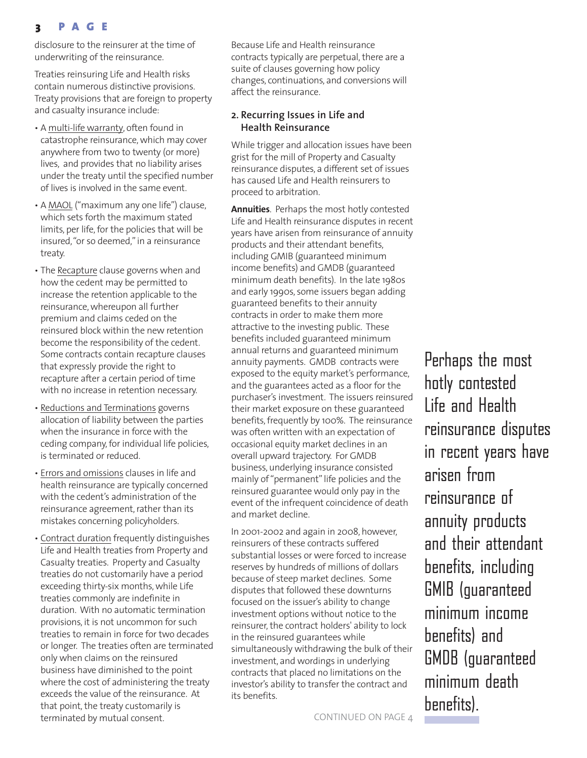# **3 PAGE**

disclosure to the reinsurer at the time of underwriting of the reinsurance.

Treaties reinsuring Life and Health risks contain numerous distinctive provisions. Treaty provisions that are foreign to property and casualty insurance include:

- A multi-life warranty, often found in catastrophe reinsurance, which may cover anywhere from two to twenty (or more) lives, and provides that no liability arises under the treaty until the specified number of lives is involved in the same event.
- A MAOL ("maximum any one life") clause, which sets forth the maximum stated limits, per life, for the policies that will be insured, "or so deemed," in a reinsurance treaty.
- The Recapture clause governs when and how the cedent may be permitted to increase the retention applicable to the reinsurance, whereupon all further premium and claims ceded on the reinsured block within the new retention become the responsibility of the cedent. Some contracts contain recapture clauses that expressly provide the right to recapture after a certain period of time with no increase in retention necessary.
- Reductions and Terminations governs allocation of liability between the parties when the insurance in force with the ceding company, for individual life policies, is terminated or reduced.
- Errors and omissions clauses in life and health reinsurance are typically concerned with the cedent's administration of the reinsurance agreement, rather than its mistakes concerning policyholders.
- Contract duration frequently distinguishes Life and Health treaties from Property and Casualty treaties. Property and Casualty treaties do not customarily have a period exceeding thirty-six months, while Life treaties commonly are indefinite in duration. With no automatic termination provisions, it is not uncommon for such treaties to remain in force for two decades or longer. The treaties often are terminated only when claims on the reinsured business have diminished to the point where the cost of administering the treaty exceeds the value of the reinsurance. At that point, the treaty customarily is terminated by mutual consent. The control of the CONTINUED ON PAGE 4

Because Life and Health reinsurance contracts typically are perpetual, there are a suite of clauses governing how policy changes, continuations, and conversions will affect the reinsurance.

## **2. Recurring Issues in Life and Health Reinsurance**

While trigger and allocation issues have been grist for the mill of Property and Casualty reinsurance disputes, a different set of issues has caused Life and Health reinsurers to proceed to arbitration.

**Annuities**. Perhaps the most hotly contested Life and Health reinsurance disputes in recent years have arisen from reinsurance of annuity products and their attendant benefits, including GMIB (guaranteed minimum income benefits) and GMDB (guaranteed minimum death benefits). In the late 1980s and early 1990s, some issuers began adding guaranteed benefits to their annuity contracts in order to make them more attractive to the investing public. These benefits included guaranteed minimum annual returns and guaranteed minimum annuity payments. GMDB contracts were exposed to the equity market's performance, and the guarantees acted as a floor for the purchaser's investment. The issuers reinsured their market exposure on these guaranteed benefits, frequently by 100%. The reinsurance was often written with an expectation of occasional equity market declines in an overall upward trajectory. For GMDB business, underlying insurance consisted mainly of "permanent" life policies and the reinsured guarantee would only pay in the event of the infrequent coincidence of death and market decline.

In 2001-2002 and again in 2008, however, reinsurers of these contracts suffered substantial losses or were forced to increase reserves by hundreds of millions of dollars because of steep market declines. Some disputes that followed these downturns focused on the issuer's ability to change investment options without notice to the reinsurer, the contract holders' ability to lock in the reinsured guarantees while simultaneously withdrawing the bulk of their investment, and wordings in underlying contracts that placed no limitations on the investor's ability to transfer the contract and its benefits.

Perhaps the most hotly contested Life and Health reinsurance disputes in recent years have arisen from reinsurance of annuity products and their attendant benefits, including GMIB (guaranteed minimum income benefits) and GMDB (guaranteed minimum death benefits).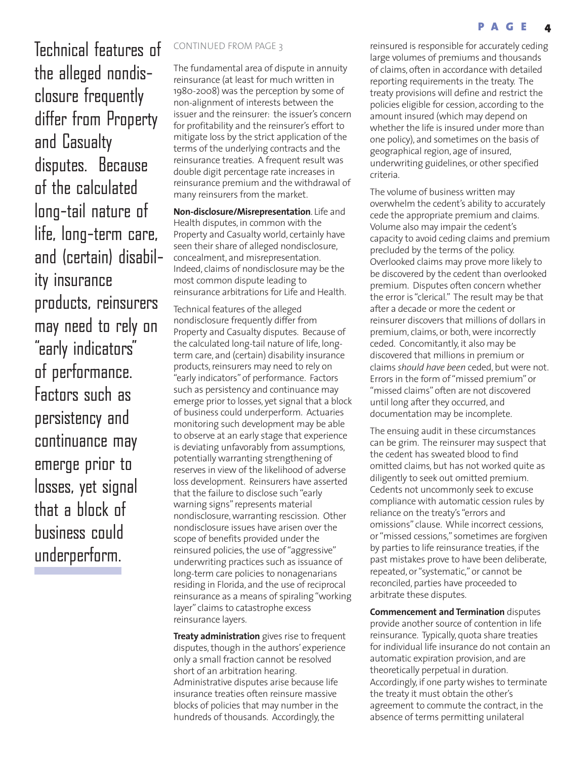Technical features of CONTINUED FROM PAGE 3 the alleged nondisclosure frequently differ from Property and Casualty disputes. Because of the calculated long-tail nature of life, long-term care, and (certain) disability insurance products, reinsurers may need to rely on "early indicators" of performance. Factors such as persistency and continuance may emerge prior to losses, yet signal that a block of business could underperform.

The fundamental area of dispute in annuity reinsurance (at least for much written in 1980-2008) was the perception by some of non-alignment of interests between the issuer and the reinsurer: the issuer's concern for profitability and the reinsurer's effort to mitigate loss by the strict application of the terms of the underlying contracts and the reinsurance treaties. A frequent result was double digit percentage rate increases in reinsurance premium and the withdrawal of many reinsurers from the market.

**Non-disclosure/Misrepresentation**. Life and Health disputes, in common with the Property and Casualty world, certainly have seen their share of alleged nondisclosure, concealment, and misrepresentation. Indeed, claims of nondisclosure may be the most common dispute leading to reinsurance arbitrations for Life and Health.

Technical features of the alleged nondisclosure frequently differ from Property and Casualty disputes. Because of the calculated long-tail nature of life, longterm care, and (certain) disability insurance products, reinsurers may need to rely on "early indicators" of performance. Factors such as persistency and continuance may emerge prior to losses, yet signal that a block of business could underperform. Actuaries monitoring such development may be able to observe at an early stage that experience is deviating unfavorably from assumptions, potentially warranting strengthening of reserves in view of the likelihood of adverse loss development. Reinsurers have asserted that the failure to disclose such "early warning signs" represents material nondisclosure, warranting rescission. Other nondisclosure issues have arisen over the scope of benefits provided under the reinsured policies, the use of "aggressive" underwriting practices such as issuance of long-term care policies to nonagenarians residing in Florida, and the use of reciprocal reinsurance as a means of spiraling "working layer" claims to catastrophe excess reinsurance layers.

**Treaty administration** gives rise to frequent disputes, though in the authors' experience only a small fraction cannot be resolved short of an arbitration hearing. Administrative disputes arise because life insurance treaties often reinsure massive blocks of policies that may number in the hundreds of thousands. Accordingly, the

reinsured is responsible for accurately ceding large volumes of premiums and thousands of claims, often in accordance with detailed reporting requirements in the treaty. The treaty provisions will define and restrict the policies eligible for cession, according to the amount insured (which may depend on whether the life is insured under more than one policy), and sometimes on the basis of geographical region, age of insured, underwriting guidelines, or other specified criteria.

The volume of business written may overwhelm the cedent's ability to accurately cede the appropriate premium and claims. Volume also may impair the cedent's capacity to avoid ceding claims and premium precluded by the terms of the policy. Overlooked claims may prove more likely to be discovered by the cedent than overlooked premium. Disputes often concern whether the error is "clerical." The result may be that after a decade or more the cedent or reinsurer discovers that millions of dollars in premium, claims, or both, were incorrectly ceded. Concomitantly, it also may be discovered that millions in premium or claims *should have been* ceded, but were not. Errors in the form of "missed premium" or "missed claims" often are not discovered until long after they occurred, and documentation may be incomplete.

The ensuing audit in these circumstances can be grim. The reinsurer may suspect that the cedent has sweated blood to find omitted claims, but has not worked quite as diligently to seek out omitted premium. Cedents not uncommonly seek to excuse compliance with automatic cession rules by reliance on the treaty's "errors and omissions" clause. While incorrect cessions, or "missed cessions," sometimes are forgiven by parties to life reinsurance treaties, if the past mistakes prove to have been deliberate, repeated, or "systematic," or cannot be reconciled, parties have proceeded to arbitrate these disputes.

**Commencement and Termination** disputes provide another source of contention in life reinsurance. Typically, quota share treaties for individual life insurance do not contain an automatic expiration provision, and are theoretically perpetual in duration. Accordingly, if one party wishes to terminate the treaty it must obtain the other's agreement to commute the contract, in the absence of terms permitting unilateral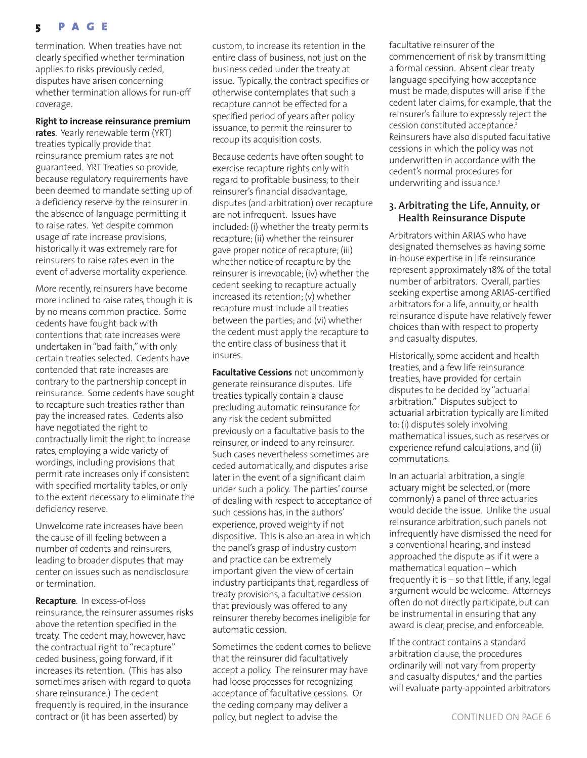termination. When treaties have not clearly specified whether termination applies to risks previously ceded, disputes have arisen concerning whether termination allows for run-off coverage.

### **Right to increase reinsurance premium**

**rates**. Yearly renewable term (YRT) treaties typically provide that reinsurance premium rates are not guaranteed. YRT Treaties so provide, because regulatory requirements have been deemed to mandate setting up of a deficiency reserve by the reinsurer in the absence of language permitting it to raise rates. Yet despite common usage of rate increase provisions, historically it was extremely rare for reinsurers to raise rates even in the event of adverse mortality experience.

More recently, reinsurers have become more inclined to raise rates, though it is by no means common practice. Some cedents have fought back with contentions that rate increases were undertaken in "bad faith," with only certain treaties selected. Cedents have contended that rate increases are contrary to the partnership concept in reinsurance. Some cedents have sought to recapture such treaties rather than pay the increased rates. Cedents also have negotiated the right to contractually limit the right to increase rates, employing a wide variety of wordings, including provisions that permit rate increases only if consistent with specified mortality tables, or only to the extent necessary to eliminate the deficiency reserve.

Unwelcome rate increases have been the cause of ill feeling between a number of cedents and reinsurers, leading to broader disputes that may center on issues such as nondisclosure or termination.

**Recapture**. In excess-of-loss reinsurance, the reinsurer assumes risks above the retention specified in the treaty. The cedent may, however, have the contractual right to "recapture" ceded business, going forward, if it increases its retention. (This has also sometimes arisen with regard to quota share reinsurance.) The cedent frequently is required, in the insurance contract or (it has been asserted) by

custom, to increase its retention in the entire class of business, not just on the business ceded under the treaty at issue. Typically, the contract specifies or otherwise contemplates that such a recapture cannot be effected for a specified period of years after policy issuance, to permit the reinsurer to recoup its acquisition costs.

Because cedents have often sought to exercise recapture rights only with regard to profitable business, to their reinsurer's financial disadvantage, disputes (and arbitration) over recapture are not infrequent. Issues have included: (i) whether the treaty permits recapture; (ii) whether the reinsurer gave proper notice of recapture; (iii) whether notice of recapture by the reinsurer is irrevocable; (iv) whether the cedent seeking to recapture actually increased its retention; (v) whether recapture must include all treaties between the parties; and (vi) whether the cedent must apply the recapture to the entire class of business that it insures.

**Facultative Cessions** not uncommonly generate reinsurance disputes. Life treaties typically contain a clause precluding automatic reinsurance for any risk the cedent submitted previously on a facultative basis to the reinsurer, or indeed to any reinsurer. Such cases nevertheless sometimes are ceded automatically, and disputes arise later in the event of a significant claim under such a policy. The parties' course of dealing with respect to acceptance of such cessions has, in the authors' experience, proved weighty if not dispositive. This is also an area in which the panel's grasp of industry custom and practice can be extremely important given the view of certain industry participants that, regardless of treaty provisions, a facultative cession that previously was offered to any reinsurer thereby becomes ineligible for automatic cession.

Sometimes the cedent comes to believe that the reinsurer did facultatively accept a policy. The reinsurer may have had loose processes for recognizing acceptance of facultative cessions. Or the ceding company may deliver a policy, but neglect to advise the CONTINUED ON PAGE 6

facultative reinsurer of the commencement of risk by transmitting a formal cession. Absent clear treaty language specifying how acceptance must be made, disputes will arise if the cedent later claims, for example, that the reinsurer's failure to expressly reject the cession constituted acceptance.<sup>2</sup> Reinsurers have also disputed facultative cessions in which the policy was not underwritten in accordance with the cedent's normal procedures for underwriting and issuance.<sup>3</sup>

## **3. Arbitrating the Life, Annuity, or Health Reinsurance Dispute**

Arbitrators within ARIAS who have designated themselves as having some in-house expertise in life reinsurance represent approximately 18% of the total number of arbitrators. Overall, parties seeking expertise among ARIAS-certified arbitrators for a life, annuity, or health reinsurance dispute have relatively fewer choices than with respect to property and casualty disputes.

Historically, some accident and health treaties, and a few life reinsurance treaties, have provided for certain disputes to be decided by "actuarial arbitration." Disputes subject to actuarial arbitration typically are limited to: (i) disputes solely involving mathematical issues, such as reserves or experience refund calculations, and (ii) commutations.

In an actuarial arbitration, a single actuary might be selected, or (more commonly) a panel of three actuaries would decide the issue. Unlike the usual reinsurance arbitration, such panels not infrequently have dismissed the need for a conventional hearing, and instead approached the dispute as if it were a mathematical equation – which frequently it is – so that little, if any, legal argument would be welcome. Attorneys often do not directly participate, but can be instrumental in ensuring that any award is clear, precise, and enforceable.

If the contract contains a standard arbitration clause, the procedures ordinarily will not vary from property and casualty disputes,<sup>4</sup> and the parties will evaluate party-appointed arbitrators